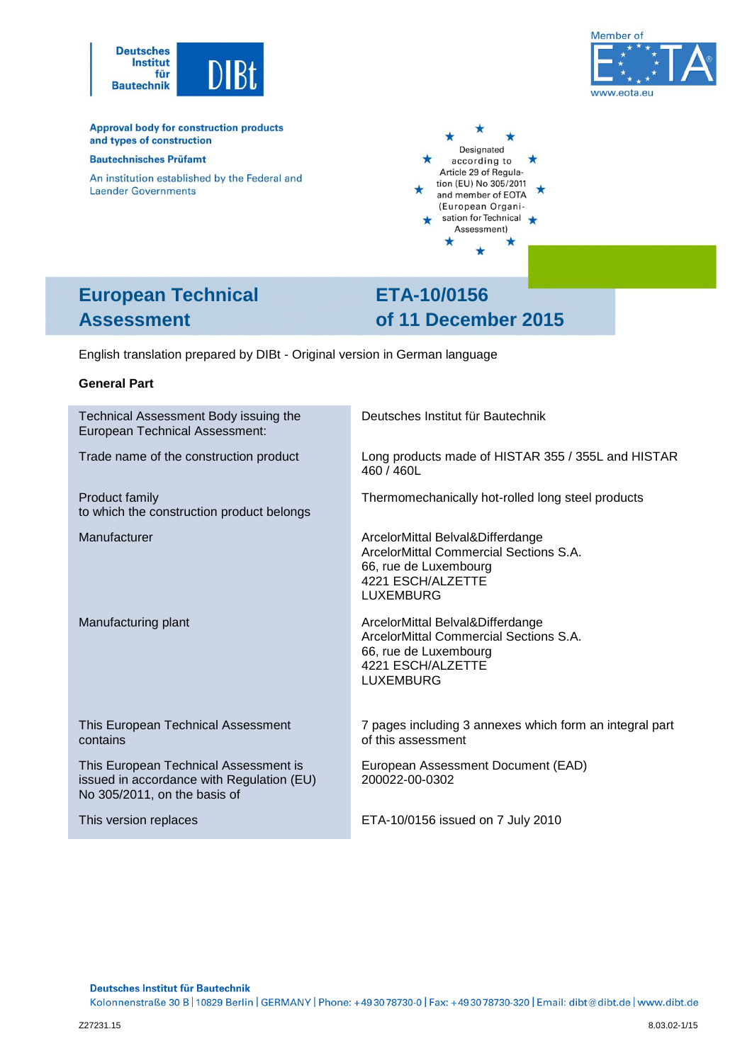



**Approval body for construction products** and types of construction

#### **Bautechnisches Prüfamt**

An institution established by the Federal and **Laender Governments** 



# **European Technical Assessment**

# **ETA-10/0156 of 11 December 2015**

English translation prepared by DIBt - Original version in German language

#### **General Part**

| Technical Assessment Body issuing the<br><b>European Technical Assessment:</b>                                     | Deutsches Institut für Bautechnik                                                                                                            |
|--------------------------------------------------------------------------------------------------------------------|----------------------------------------------------------------------------------------------------------------------------------------------|
| Trade name of the construction product                                                                             | Long products made of HISTAR 355 / 355L and HISTAR<br>460 / 460L                                                                             |
| Product family<br>to which the construction product belongs                                                        | Thermomechanically hot-rolled long steel products                                                                                            |
| Manufacturer                                                                                                       | ArcelorMittal Belval&Differdange<br>ArcelorMittal Commercial Sections S.A.<br>66, rue de Luxembourg<br>4221 ESCH/ALZETTE<br><b>LUXEMBURG</b> |
| Manufacturing plant                                                                                                | ArcelorMittal Belval&Differdange<br>ArcelorMittal Commercial Sections S.A.<br>66, rue de Luxembourg<br>4221 ESCH/ALZETTE<br><b>LUXEMBURG</b> |
| This European Technical Assessment<br>contains                                                                     | 7 pages including 3 annexes which form an integral part<br>of this assessment                                                                |
| This European Technical Assessment is<br>issued in accordance with Regulation (EU)<br>No 305/2011, on the basis of | European Assessment Document (EAD)<br>200022-00-0302                                                                                         |
| This version replaces                                                                                              | ETA-10/0156 issued on 7 July 2010                                                                                                            |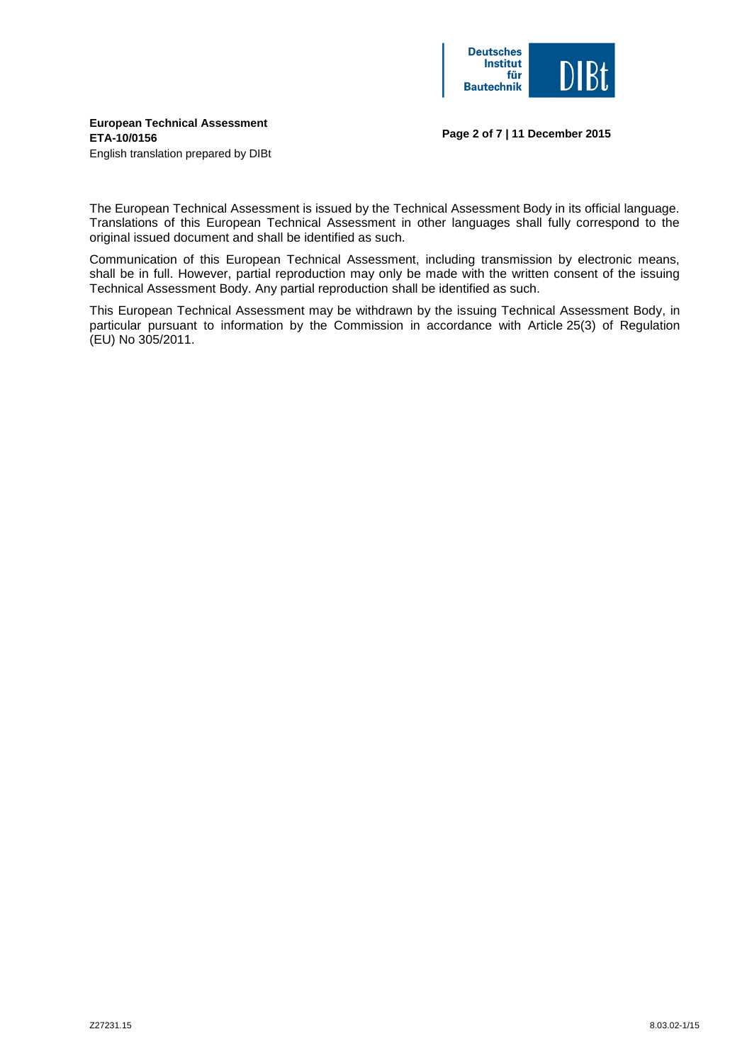

## **European Technical Assessment ETA-10/0156**

**Page 2 of 7 | 11 December 2015**

English translation prepared by DIBt

The European Technical Assessment is issued by the Technical Assessment Body in its official language. Translations of this European Technical Assessment in other languages shall fully correspond to the original issued document and shall be identified as such.

Communication of this European Technical Assessment, including transmission by electronic means, shall be in full. However, partial reproduction may only be made with the written consent of the issuing Technical Assessment Body. Any partial reproduction shall be identified as such.

This European Technical Assessment may be withdrawn by the issuing Technical Assessment Body, in particular pursuant to information by the Commission in accordance with Article 25(3) of Regulation (EU) No 305/2011.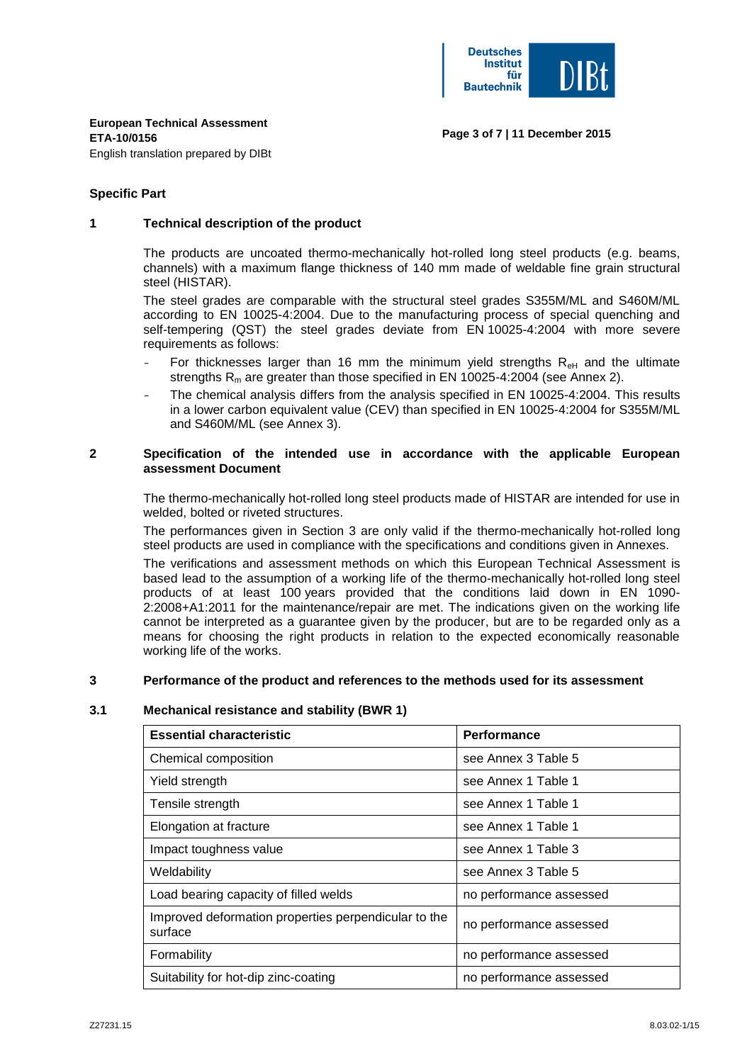

**Page 3 of 7 | 11 December 2015**

#### **Specific Part**

#### **1 Technical description of the product**

The products are uncoated thermo-mechanically hot-rolled long steel products (e.g. beams, channels) with a maximum flange thickness of 140 mm made of weldable fine grain structural steel (HISTAR).

The steel grades are comparable with the structural steel grades S355M/ML and S460M/ML according to EN 10025-4:2004. Due to the manufacturing process of special quenching and self-tempering (QST) the steel grades deviate from EN 10025-4:2004 with more severe requirements as follows:

- For thicknesses larger than 16 mm the minimum yield strengths  $R_{\text{eH}}$  and the ultimate strengths  $R_m$  are greater than those specified in EN 10025-4:2004 (see Annex 2).
- The chemical analysis differs from the analysis specified in EN 10025-4:2004. This results in a lower carbon equivalent value (CEV) than specified in EN 10025-4:2004 for S355M/ML and S460M/ML (see Annex 3).

#### **2 Specification of the intended use in accordance with the applicable European assessment Document**

The thermo-mechanically hot-rolled long steel products made of HISTAR are intended for use in welded, bolted or riveted structures.

The performances given in Section 3 are only valid if the thermo-mechanically hot-rolled long steel products are used in compliance with the specifications and conditions given in Annexes.

The verifications and assessment methods on which this European Technical Assessment is based lead to the assumption of a working life of the thermo-mechanically hot-rolled long steel products of at least 100 years provided that the conditions laid down in EN 1090- 2:2008+A1:2011 for the maintenance/repair are met. The indications given on the working life cannot be interpreted as a guarantee given by the producer, but are to be regarded only as a means for choosing the right products in relation to the expected economically reasonable working life of the works.

#### **3 Performance of the product and references to the methods used for its assessment**

## **3.1 Mechanical resistance and stability (BWR 1)**

| <b>Essential characteristic</b>                                 | <b>Performance</b>      |
|-----------------------------------------------------------------|-------------------------|
| Chemical composition                                            | see Annex 3 Table 5     |
| Yield strength                                                  | see Annex 1 Table 1     |
| Tensile strength                                                | see Annex 1 Table 1     |
| Elongation at fracture                                          | see Annex 1 Table 1     |
| Impact toughness value                                          | see Annex 1 Table 3     |
| Weldability                                                     | see Annex 3 Table 5     |
| Load bearing capacity of filled welds                           | no performance assessed |
| Improved deformation properties perpendicular to the<br>surface | no performance assessed |
| Formability                                                     | no performance assessed |
| Suitability for hot-dip zinc-coating                            | no performance assessed |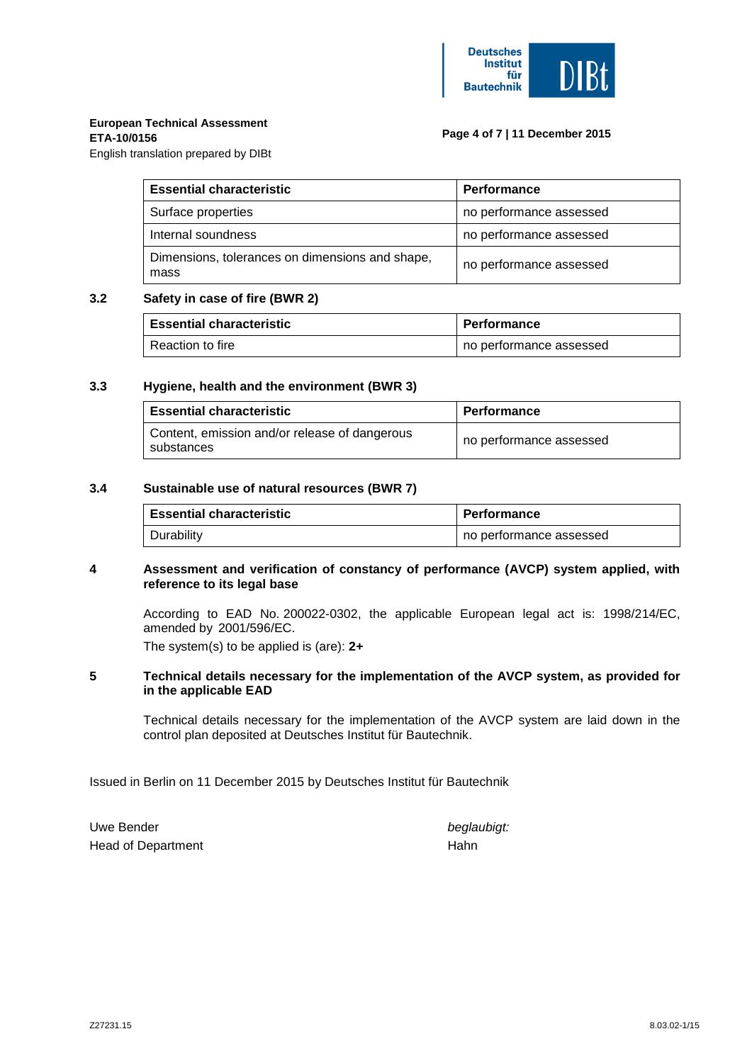

## **European Technical Assessment**

#### **ETA-10/0156**

## **Page 4 of 7 | 11 December 2015**

English translation prepared by DIBt

| <b>Essential characteristic</b>                         | <b>Performance</b>      |  |  |  |  |  |
|---------------------------------------------------------|-------------------------|--|--|--|--|--|
| Surface properties                                      | no performance assessed |  |  |  |  |  |
| Internal soundness                                      | no performance assessed |  |  |  |  |  |
| Dimensions, tolerances on dimensions and shape,<br>mass | no performance assessed |  |  |  |  |  |

## **3.2 Safety in case of fire (BWR 2)**

| <b>Essential characteristic</b> | <b>Performance</b> |                         |  |  |  |  |
|---------------------------------|--------------------|-------------------------|--|--|--|--|
| Reaction to fire                |                    | no performance assessed |  |  |  |  |

## **3.3 Hygiene, health and the environment (BWR 3)**

| <b>Essential characteristic</b>                             | <b>Performance</b>      |  |  |  |  |
|-------------------------------------------------------------|-------------------------|--|--|--|--|
| Content, emission and/or release of dangerous<br>substances | no performance assessed |  |  |  |  |

## **3.4 Sustainable use of natural resources (BWR 7)**

| l Essential characteristic | <b>Performance</b>      |
|----------------------------|-------------------------|
| ∪ Durability               | no performance assessed |

## **4 Assessment and verification of constancy of performance (AVCP) system applied, with reference to its legal base**

According to EAD No. 200022-0302, the applicable European legal act is: 1998/214/EC, amended by 2001/596/EC.

The system(s) to be applied is (are): **2+**

#### **5 Technical details necessary for the implementation of the AVCP system, as provided for in the applicable EAD**

Technical details necessary for the implementation of the AVCP system are laid down in the control plan deposited at Deutsches Institut für Bautechnik.

Issued in Berlin on 11 December 2015 by Deutsches Institut für Bautechnik

Uwe Bender **beglaubigt:** Head of Department Hahn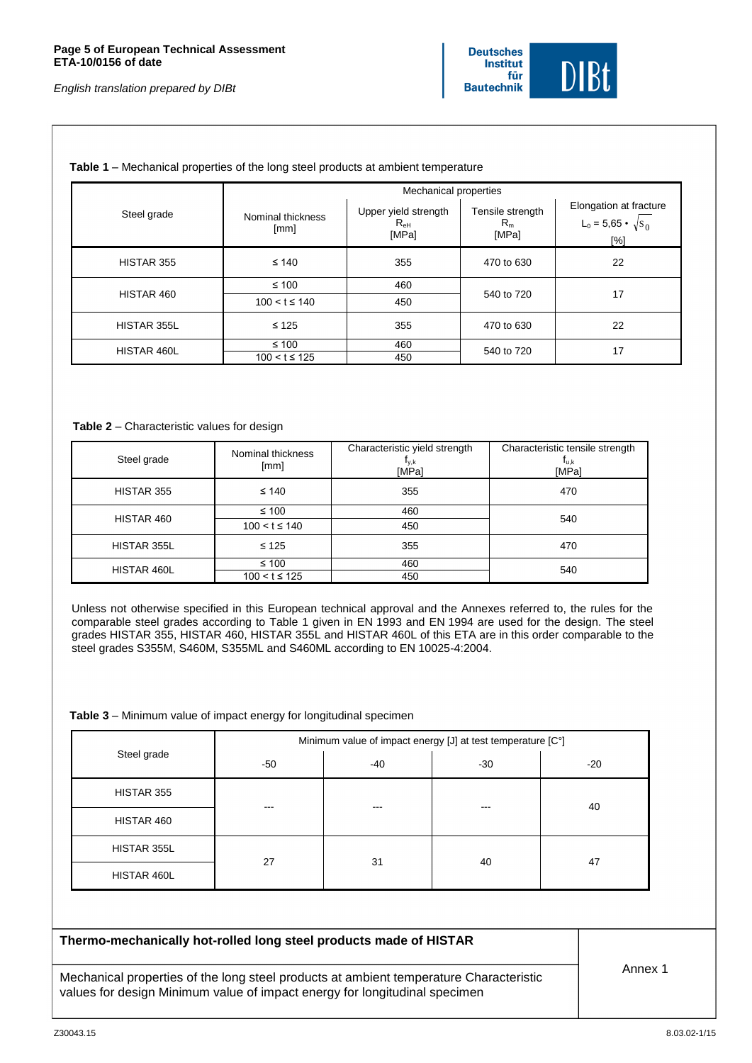

#### **Table 1** – Mechanical properties of the long steel products at ambient temperature

|             | Mechanical properties      |                                                  |                                    |                                                                       |  |  |  |  |  |
|-------------|----------------------------|--------------------------------------------------|------------------------------------|-----------------------------------------------------------------------|--|--|--|--|--|
| Steel grade | Nominal thickness<br>[mm]  | Upper yield strength<br>$R_{\text{eH}}$<br>[MPa] | Tensile strength<br>$R_m$<br>[MPa] | Elongation at fracture<br>L <sub>0</sub> = 5,65 • $\sqrt{s_0}$<br>[%] |  |  |  |  |  |
| HISTAR 355  | $\leq 140$                 | 355                                              | 470 to 630                         | 22                                                                    |  |  |  |  |  |
|             | $\leq 100$                 | 460                                              |                                    | 17                                                                    |  |  |  |  |  |
| HISTAR 460  | $100 < t \le 140$          | 450                                              | 540 to 720                         |                                                                       |  |  |  |  |  |
| HISTAR 355L | $\leq 125$                 | 355                                              | 470 to 630                         | 22                                                                    |  |  |  |  |  |
| HISTAR 460L | ≤ 100<br>$100 < t \le 125$ | 460                                              | 540 to 720                         | 17                                                                    |  |  |  |  |  |
|             |                            | 450                                              |                                    |                                                                       |  |  |  |  |  |

#### **Table 2** – Characteristic values for design

| Steel grade | Nominal thickness<br>[mm] | Characteristic yield strength<br>Iγ,k<br>[MPa] | Characteristic tensile strength<br>T <sub>u,k</sub><br>[MPa] |  |  |  |
|-------------|---------------------------|------------------------------------------------|--------------------------------------------------------------|--|--|--|
| HISTAR 355  | $\leq 140$                | 355                                            | 470                                                          |  |  |  |
| HISTAR 460  | $\leq 100$                | 460                                            | 540                                                          |  |  |  |
|             | $100 < t \le 140$         | 450                                            |                                                              |  |  |  |
| HISTAR 355L | $\leq 125$                | 355                                            | 470                                                          |  |  |  |
| HISTAR 460L | ≤ 100                     | 460                                            | 540                                                          |  |  |  |
|             | $100 < t \le 125$         | 450                                            |                                                              |  |  |  |

Unless not otherwise specified in this European technical approval and the Annexes referred to, the rules for the comparable steel grades according to Table 1 given in EN 1993 and EN 1994 are used for the design. The steel grades HISTAR 355, HISTAR 460, HISTAR 355L and HISTAR 460L of this ETA are in this order comparable to the steel grades S355M, S460M, S355ML and S460ML according to EN 10025-4:2004.

#### **Table 3** – Minimum value of impact energy for longitudinal specimen

|             | Minimum value of impact energy [J] at test temperature [C°] |     |       |       |  |  |  |  |  |
|-------------|-------------------------------------------------------------|-----|-------|-------|--|--|--|--|--|
| Steel grade | -50                                                         | -40 | $-30$ | $-20$ |  |  |  |  |  |
| HISTAR 355  | $- - -$                                                     | --- | ---   | 40    |  |  |  |  |  |
| HISTAR 460  |                                                             |     |       |       |  |  |  |  |  |
| HISTAR 355L | 27                                                          | 31  |       |       |  |  |  |  |  |
| HISTAR 460L |                                                             |     | 40    | 47    |  |  |  |  |  |

Mechanical properties of the long steel products at ambient temperature Characteristic values for design Minimum value of impact energy for longitudinal specimen

Annex 1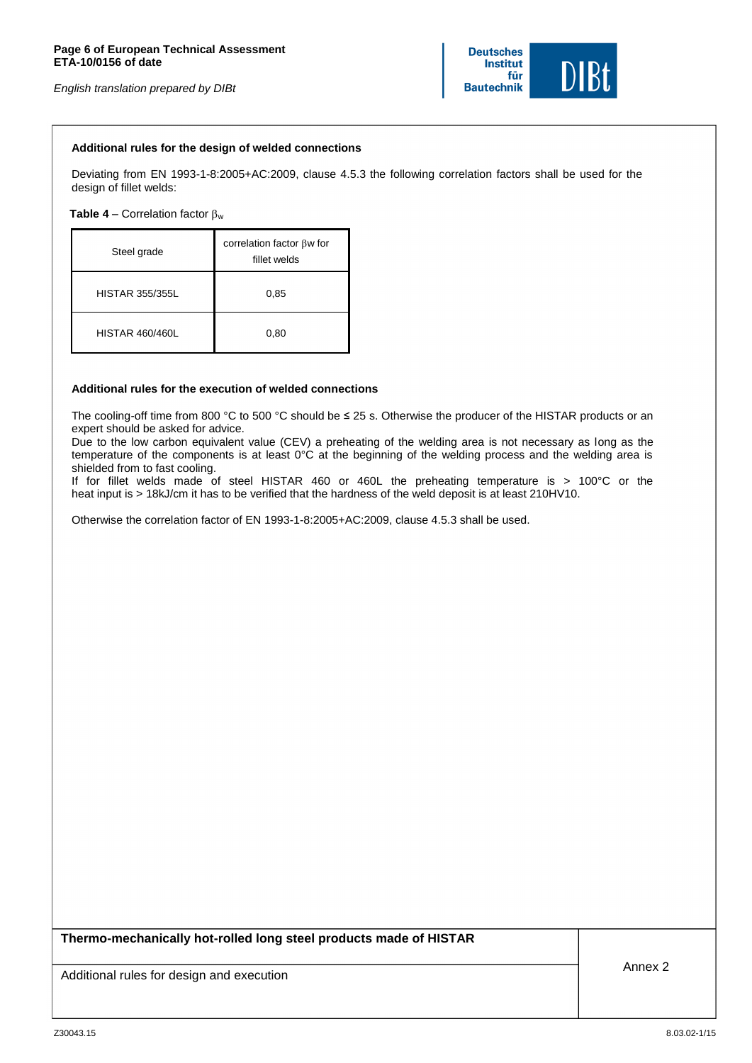*English translation prepared by DIBt*



#### **Additional rules for the design of welded connections**

Deviating from EN 1993-1-8:2005+AC:2009, clause 4.5.3 the following correlation factors shall be used for the design of fillet welds:

**Table 4** – Correlation factor  $\beta_w$ 

| Steel grade            | correlation factor $\beta w$ for<br>fillet welds |  |  |  |  |  |  |
|------------------------|--------------------------------------------------|--|--|--|--|--|--|
| <b>HISTAR 355/355L</b> | 0,85                                             |  |  |  |  |  |  |
| <b>HISTAR 460/460L</b> | 0,80                                             |  |  |  |  |  |  |

#### **Additional rules for the execution of welded connections**

The cooling-off time from 800 °C to 500 °C should be ≤ 25 s. Otherwise the producer of the HISTAR products or an expert should be asked for advice.

Due to the low carbon equivalent value (CEV) a preheating of the welding area is not necessary as long as the temperature of the components is at least 0°C at the beginning of the welding process and the welding area is shielded from to fast cooling.

If for fillet welds made of steel HISTAR 460 or 460L the preheating temperature is > 100°C or the heat input is > 18kJ/cm it has to be verified that the hardness of the weld deposit is at least 210HV10.

Otherwise the correlation factor of EN 1993-1-8:2005+AC:2009, clause 4.5.3 shall be used.

**Thermo-mechanically hot-rolled long steel products made of HISTAR**

Additional rules for design and execution Annex 2